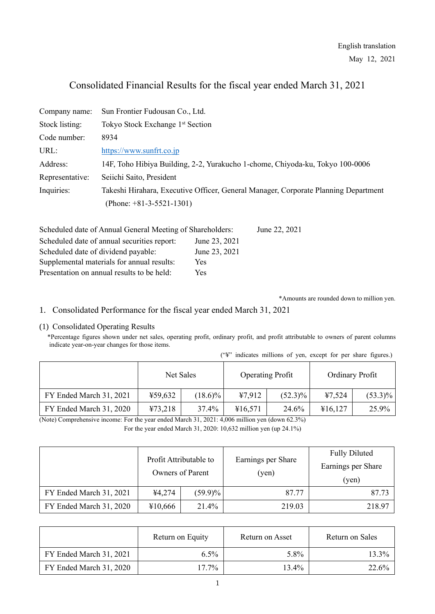# Consolidated Financial Results for the fiscal year ended March 31, 2021

| Company name:   | Sun Frontier Fudousan Co., Ltd.                                                     |
|-----------------|-------------------------------------------------------------------------------------|
| Stock listing:  | Tokyo Stock Exchange 1 <sup>st</sup> Section                                        |
| Code number:    | 8934                                                                                |
| URL:            | https://www.sunfrt.co.jp                                                            |
| Address:        | 14F, Toho Hibiya Building, 2-2, Yurakucho 1-chome, Chiyoda-ku, Tokyo 100-0006       |
| Representative: | Seiichi Saito, President                                                            |
| Inquiries:      | Takeshi Hirahara, Executive Officer, General Manager, Corporate Planning Department |
|                 | (Phone: $+81-3-5521-1301$ )                                                         |

| Scheduled date of Annual General Meeting of Shareholders: |               | June 22, 2021 |
|-----------------------------------------------------------|---------------|---------------|
| Scheduled date of annual securities report:               | June 23, 2021 |               |
| Scheduled date of dividend payable:                       | June 23, 2021 |               |
| Supplemental materials for annual results:                | Yes           |               |
| Presentation on annual results to be held:                | Yes           |               |

\*Amounts are rounded down to million yen.

# 1. Consolidated Performance for the fiscal year ended March 31, 2021

#### (1) Consolidated Operating Results

\*Percentage figures shown under net sales, operating profit, ordinary profit, and profit attributable to owners of parent columns indicate year-on-year changes for those items.

| ("\"" indicates millions of yen, except for per share figures.) |  |  |  |  |  |
|-----------------------------------------------------------------|--|--|--|--|--|
|                                                                 |  |  |  |  |  |

|                         | Net Sales |            | <b>Operating Profit</b> |            | Ordinary Profit |            |  |
|-------------------------|-----------|------------|-------------------------|------------|-----------------|------------|--|
| FY Ended March 31, 2021 | ¥59,632   | $(18.6)\%$ | 47,912                  | $(52.3)\%$ | 47,524          | $(53.3)\%$ |  |
| FY Ended March 31, 2020 | 473,218   | 37.4%      | ¥16,571                 | 24.6%      | ¥16,127         | 25.9%      |  |

(Note) Comprehensive income: For the year ended March 31, 2021: 4,006 million yen (down 62.3%) For the year ended March 31, 2020: 10,632 million yen (up 24.1%)

|                         | Profit Attributable to<br>Owners of Parent |            | Earnings per Share<br>(yen) | <b>Fully Diluted</b><br>Earnings per Share<br>(yen) |
|-------------------------|--------------------------------------------|------------|-----------------------------|-----------------------------------------------------|
| FY Ended March 31, 2021 | ¥4,274                                     | $(59.9)\%$ | 87.77                       | 87.73                                               |
| FY Ended March 31, 2020 | ¥10,666                                    | 21.4%      | 219.03                      | 218.97                                              |

|                         | Return on Equity | Return on Asset | Return on Sales |
|-------------------------|------------------|-----------------|-----------------|
| FY Ended March 31, 2021 | $6.5\%$          | 5.8%            | 13.3%           |
| FY Ended March 31, 2020 | $17.7\%$         | 13.4%           | 22.6%           |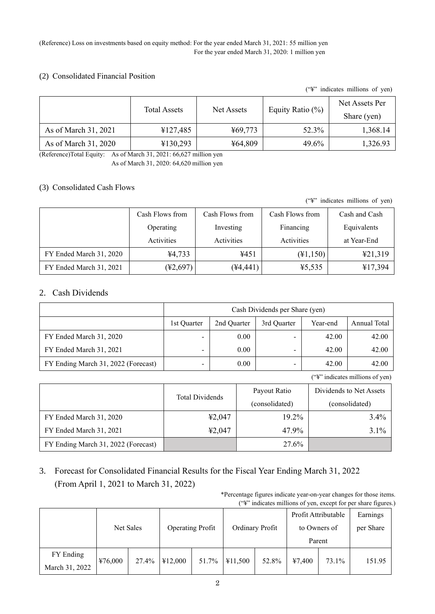#### (Reference) Loss on investments based on equity method: For the year ended March 31, 2021: 55 million yen For the year ended March 31, 2020: 1 million yen

### (2) Consolidated Financial Position

("¥" indicates millions of yen)

|                      | <b>Total Assets</b> | Net Assets | Equity Ratio $(\%)$ | Net Assets Per<br>Share (yen) |
|----------------------|---------------------|------------|---------------------|-------------------------------|
| As of March 31, 2021 | ¥127,485            | ¥69,773    | 52.3%               | 1,368.14                      |
| As of March 31, 2020 | ¥130,293            | ¥64,809    | 49.6%               | 1,326.93                      |

(Reference)Total Equity: As of March 31, 2021: 66,627 million yen

As of March 31, 2020: 64,620 million yen

## (3) Consolidated Cash Flows

("¥" indicates millions of yen)

|                         | Cash Flows from | Cash Flows from | Cash Flows from     | Cash and Cash |
|-------------------------|-----------------|-----------------|---------------------|---------------|
|                         | Operating       | Investing       | Financing           | Equivalents   |
|                         | Activities      | Activities      | Activities          | at Year-End   |
| FY Ended March 31, 2020 | ¥4,733          | ¥451            | $(\text{\#}1, 150)$ | 421,319       |
| FY Ended March 31, 2021 | (¥2,697)        | $(*4,441)$      | 45,535              | ¥17,394       |

## 2. Cash Dividends

|                                     | Cash Dividends per Share (yen) |             |             |          |              |  |
|-------------------------------------|--------------------------------|-------------|-------------|----------|--------------|--|
|                                     | 1st Ouarter                    | 2nd Quarter | 3rd Ouarter | Year-end | Annual Total |  |
| FY Ended March 31, 2020             | -                              | 0.00        |             | 42.00    | 42.00        |  |
| FY Ended March 31, 2021             | -                              | 0.00        | -           | 42.00    | 42.00        |  |
| FY Ending March 31, 2022 (Forecast) | $\overline{\phantom{a}}$       | 0.00        | -           | 42.00    | 42.00        |  |

("¥" indicates millions of yen)

|                                     | <b>Total Dividends</b> | Payout Ratio   | Dividends to Net Assets |
|-------------------------------------|------------------------|----------------|-------------------------|
|                                     |                        | (consolidated) | (consolidated)          |
| FY Ended March 31, 2020             | 42,047                 | 19.2%          | 3.4%                    |
| FY Ended March 31, 2021             | 42,047                 | 47.9%          | 3.1%                    |
| FY Ending March 31, 2022 (Forecast) |                        | 27.6%          |                         |

3. Forecast for Consolidated Financial Results for the Fiscal Year Ending March 31, 2022 (From April 1, 2021 to March 31, 2022)

> \*Percentage figures indicate year-on-year changes for those items. ("¥" indicates millions of yen, except for per share figures.)

|                |         |           |         |                         |         |                 | Profit Attributable |              | Earnings |
|----------------|---------|-----------|---------|-------------------------|---------|-----------------|---------------------|--------------|----------|
|                |         | Net Sales |         | <b>Operating Profit</b> |         | Ordinary Profit |                     | to Owners of |          |
|                |         |           |         |                         |         |                 | Parent              |              |          |
| FY Ending      |         | 27.4%     |         | 51.7%                   | ¥11,500 |                 |                     | 73.1%        | 151.95   |
| March 31, 2022 | ¥76,000 |           | ¥12,000 |                         |         | 52.8%           | 47,400              |              |          |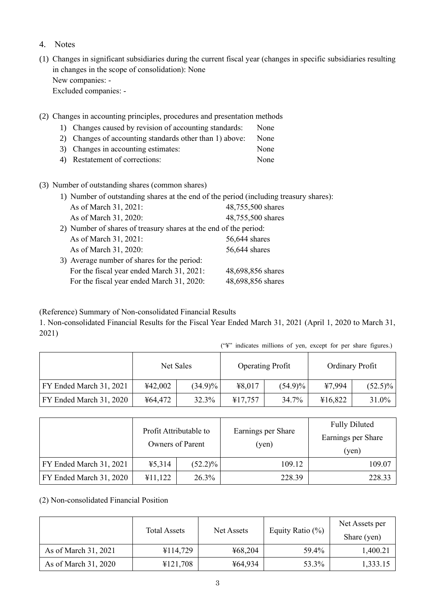- 4. Notes
- (1) Changes in significant subsidiaries during the current fiscal year (changes in specific subsidiaries resulting in changes in the scope of consolidation): None New companies: - Excluded companies: -
- (2) Changes in accounting principles, procedures and presentation methods
	- 1) Changes caused by revision of accounting standards: None
	- 2) Changes of accounting standards other than 1) above: None
	- 3) Changes in accounting estimates: None
	- 4) Restatement of corrections: None
- (3) Number of outstanding shares (common shares)

|                                                                  | 1) Number of outstanding shares at the end of the period (including treasury shares): |
|------------------------------------------------------------------|---------------------------------------------------------------------------------------|
| As of March 31, 2021:                                            | 48,755,500 shares                                                                     |
| As of March 31, 2020:                                            | 48,755,500 shares                                                                     |
| 2) Number of shares of treasury shares at the end of the period: |                                                                                       |
| As of March 31, 2021:                                            | 56,644 shares                                                                         |
| As of March 31, 2020:                                            | 56,644 shares                                                                         |
| 3) Average number of shares for the period:                      |                                                                                       |
| For the fiscal year ended March 31, 2021:                        | 48,698,856 shares                                                                     |
| For the fiscal year ended March 31, 2020:                        | 48,698,856 shares                                                                     |
|                                                                  |                                                                                       |

(Reference) Summary of Non-consolidated Financial Results

1. Non-consolidated Financial Results for the Fiscal Year Ended March 31, 2021 (April 1, 2020 to March 31, 2021)

|  | ("\" indicates millions of yen, except for per share figures.) |  |  |  |
|--|----------------------------------------------------------------|--|--|--|
|  |                                                                |  |  |  |

|                         | Net Sales |            | <b>Operating Profit</b> |            | Ordinary Profit |            |
|-------------------------|-----------|------------|-------------------------|------------|-----------------|------------|
| FY Ended March 31, 2021 | ¥42,002   | $(34.9)\%$ | ¥8,017                  | $(54.9)\%$ | ¥7.994          | $(52.5)\%$ |
| FY Ended March 31, 2020 | ¥64,472   | 32.3%      | ¥17,757                 | 34.7%      | ¥16,822         | 31.0%      |

|                         | Profit Attributable to<br><b>Owners of Parent</b> |            | Earnings per Share<br>(yen) | <b>Fully Diluted</b><br>Earnings per Share<br>(yen) |  |
|-------------------------|---------------------------------------------------|------------|-----------------------------|-----------------------------------------------------|--|
| FY Ended March 31, 2021 | 45,314                                            | $(52.2)\%$ | 109.12                      | 109.07                                              |  |
| FY Ended March 31, 2020 | ¥11,122                                           | 26.3%      | 228.39                      | 228.33                                              |  |

(2) Non-consolidated Financial Position

|                      | <b>Total Assets</b> | Net Assets | Equity Ratio $(\%)$ | Net Assets per<br>Share (yen) |
|----------------------|---------------------|------------|---------------------|-------------------------------|
| As of March 31, 2021 | ¥114,729            | ¥68,204    | 59.4%               | 1,400.21                      |
| As of March 31, 2020 | ¥121,708            | ¥64,934    | 53.3%               | 1,333.15                      |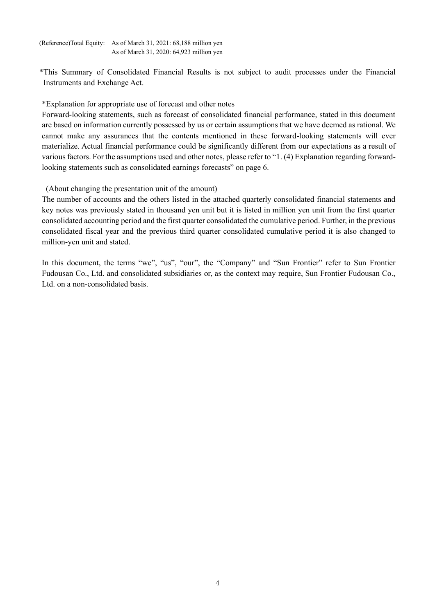(Reference)Total Equity: As of March 31, 2021: 68,188 million yen As of March 31, 2020: 64,923 million yen

\*This Summary of Consolidated Financial Results is not subject to audit processes under the Financial Instruments and Exchange Act.

\*Explanation for appropriate use of forecast and other notes

Forward-looking statements, such as forecast of consolidated financial performance, stated in this document are based on information currently possessed by us or certain assumptions that we have deemed as rational. We cannot make any assurances that the contents mentioned in these forward-looking statements will ever materialize. Actual financial performance could be significantly different from our expectations as a result of various factors. For the assumptions used and other notes, please refer to "1. (4) Explanation regarding forwardlooking statements such as consolidated earnings forecasts" on page 6.

(About changing the presentation unit of the amount)

The number of accounts and the others listed in the attached quarterly consolidated financial statements and key notes was previously stated in thousand yen unit but it is listed in million yen unit from the first quarter consolidated accounting period and the first quarter consolidated the cumulative period. Further, in the previous consolidated fiscal year and the previous third quarter consolidated cumulative period it is also changed to million-yen unit and stated.

In this document, the terms "we", "us", "our", the "Company" and "Sun Frontier" refer to Sun Frontier Fudousan Co., Ltd. and consolidated subsidiaries or, as the context may require, Sun Frontier Fudousan Co., Ltd. on a non-consolidated basis.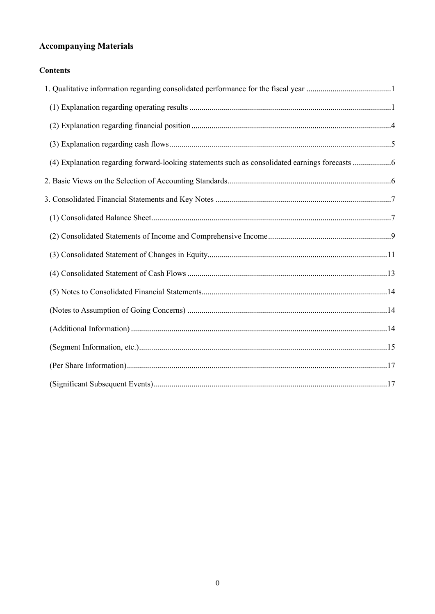# **Accompanying Materials**

# **Contents**

| (4) Explanation regarding forward-looking statements such as consolidated earnings forecasts 6 |
|------------------------------------------------------------------------------------------------|
|                                                                                                |
|                                                                                                |
|                                                                                                |
|                                                                                                |
|                                                                                                |
|                                                                                                |
|                                                                                                |
|                                                                                                |
|                                                                                                |
|                                                                                                |
|                                                                                                |
|                                                                                                |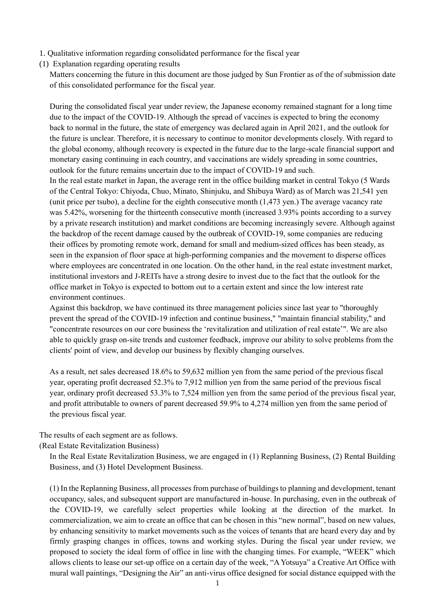- <span id="page-5-0"></span>1. Qualitative information regarding consolidated performance for the fiscal year
- <span id="page-5-1"></span>(1) Explanation regarding operating results

Matters concerning the future in this document are those judged by Sun Frontier as of the of submission date of this consolidated performance for the fiscal year.

During the consolidated fiscal year under review, the Japanese economy remained stagnant for a long time due to the impact of the COVID-19. Although the spread of vaccines is expected to bring the economy back to normal in the future, the state of emergency was declared again in April 2021, and the outlook for the future is unclear. Therefore, it is necessary to continue to monitor developments closely. With regard to the global economy, although recovery is expected in the future due to the large-scale financial support and monetary easing continuing in each country, and vaccinations are widely spreading in some countries, outlook for the future remains uncertain due to the impact of COVID-19 and such.

In the real estate market in Japan, the average rent in the office building market in central Tokyo (5 Wards of the Central Tokyo: Chiyoda, Chuo, Minato, Shinjuku, and Shibuya Ward) as of March was 21,541 yen (unit price per tsubo), a decline for the eighth consecutive month (1,473 yen.) The average vacancy rate was 5.42%, worsening for the thirteenth consecutive month (increased 3.93% points according to a survey by a private research institution) and market conditions are becoming increasingly severe. Although against the backdrop of the recent damage caused by the outbreak of COVID-19, some companies are reducing their offices by promoting remote work, demand for small and medium-sized offices has been steady, as seen in the expansion of floor space at high-performing companies and the movement to disperse offices where employees are concentrated in one location. On the other hand, in the real estate investment market, institutional investors and J-REITs have a strong desire to invest due to the fact that the outlook for the office market in Tokyo is expected to bottom out to a certain extent and since the low interest rate environment continues.

Against this backdrop, we have continued its three management policies since last year to "thoroughly prevent the spread of the COVID-19 infection and continue business," "maintain financial stability," and "concentrate resources on our core business the 'revitalization and utilization of real estate'". We are also able to quickly grasp on-site trends and customer feedback, improve our ability to solve problems from the clients' point of view, and develop our business by flexibly changing ourselves.

As a result, net sales decreased 18.6% to 59,632 million yen from the same period of the previous fiscal year, operating profit decreased 52.3% to 7,912 million yen from the same period of the previous fiscal year, ordinary profit decreased 53.3% to 7,524 million yen from the same period of the previous fiscal year, and profit attributable to owners of parent decreased 59.9% to 4,274 million yen from the same period of the previous fiscal year.

The results of each segment are as follows.

(Real Estate Revitalization Business)

In the Real Estate Revitalization Business, we are engaged in (1) Replanning Business, (2) Rental Building Business, and (3) Hotel Development Business.

(1) In the Replanning Business, all processes from purchase of buildings to planning and development, tenant occupancy, sales, and subsequent support are manufactured in-house. In purchasing, even in the outbreak of the COVID-19, we carefully select properties while looking at the direction of the market. In commercialization, we aim to create an office that can be chosen in this "new normal", based on new values, by enhancing sensitivity to market movements such as the voices of tenants that are heard every day and by firmly grasping changes in offices, towns and working styles. During the fiscal year under review, we proposed to society the ideal form of office in line with the changing times. For example, "WEEK" which allows clients to lease our set-up office on a certain day of the week, "A Yotsuya" a Creative Art Office with mural wall paintings, "Designing the Air" an anti-virus office designed for social distance equipped with the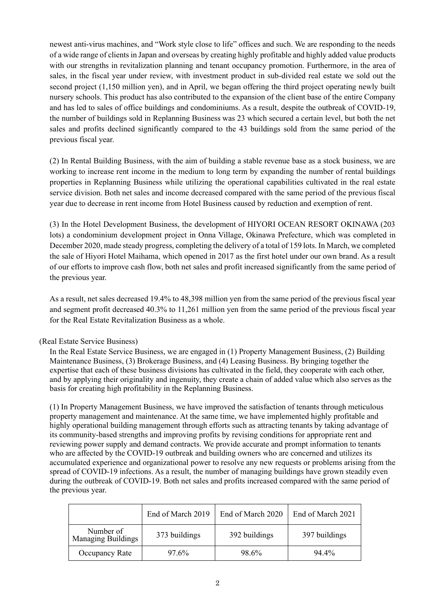newest anti-virus machines, and "Work style close to life" offices and such. We are responding to the needs of a wide range of clients in Japan and overseas by creating highly profitable and highly added value products with our strengths in revitalization planning and tenant occupancy promotion. Furthermore, in the area of sales, in the fiscal year under review, with investment product in sub-divided real estate we sold out the second project (1,150 million yen), and in April, we began offering the third project operating newly built nursery schools. This product has also contributed to the expansion of the client base of the entire Company and has led to sales of office buildings and condominiums. As a result, despite the outbreak of COVID-19, the number of buildings sold in Replanning Business was 23 which secured a certain level, but both the net sales and profits declined significantly compared to the 43 buildings sold from the same period of the previous fiscal year.

(2) In Rental Building Business, with the aim of building a stable revenue base as a stock business, we are working to increase rent income in the medium to long term by expanding the number of rental buildings properties in Replanning Business while utilizing the operational capabilities cultivated in the real estate service division. Both net sales and income decreased compared with the same period of the previous fiscal year due to decrease in rent income from Hotel Business caused by reduction and exemption of rent.

(3) In the Hotel Development Business, the development of HIYORI OCEAN RESORT OKINAWA (203 lots) a condominium development project in Onna Village, Okinawa Prefecture, which was completed in December 2020, made steady progress, completing the delivery of a total of 159 lots. In March, we completed the sale of Hiyori Hotel Maihama, which opened in 2017 as the first hotel under our own brand. As a result of our efforts to improve cash flow, both net sales and profit increased significantly from the same period of the previous year.

As a result, net sales decreased 19.4% to 48,398 million yen from the same period of the previous fiscal year and segment profit decreased 40.3% to 11,261 million yen from the same period of the previous fiscal year for the Real Estate Revitalization Business as a whole.

### (Real Estate Service Business)

In the Real Estate Service Business, we are engaged in (1) Property Management Business, (2) Building Maintenance Business, (3) Brokerage Business, and (4) Leasing Business. By bringing together the expertise that each of these business divisions has cultivated in the field, they cooperate with each other, and by applying their originality and ingenuity, they create a chain of added value which also serves as the basis for creating high profitability in the Replanning Business.

(1) In Property Management Business, we have improved the satisfaction of tenants through meticulous property management and maintenance. At the same time, we have implemented highly profitable and highly operational building management through efforts such as attracting tenants by taking advantage of its community-based strengths and improving profits by revising conditions for appropriate rent and reviewing power supply and demand contracts. We provide accurate and prompt information to tenants who are affected by the COVID-19 outbreak and building owners who are concerned and utilizes its accumulated experience and organizational power to resolve any new requests or problems arising from the spread of COVID-19 infections. As a result, the number of managing buildings have grown steadily even during the outbreak of COVID-19. Both net sales and profits increased compared with the same period of the previous year.

|                                        | End of March 2019 | End of March 2020 | End of March 2021 |  |
|----------------------------------------|-------------------|-------------------|-------------------|--|
| Number of<br><b>Managing Buildings</b> | 373 buildings     | 392 buildings     | 397 buildings     |  |
| Occupancy Rate                         | 97.6%             | 98.6%             | 94.4%             |  |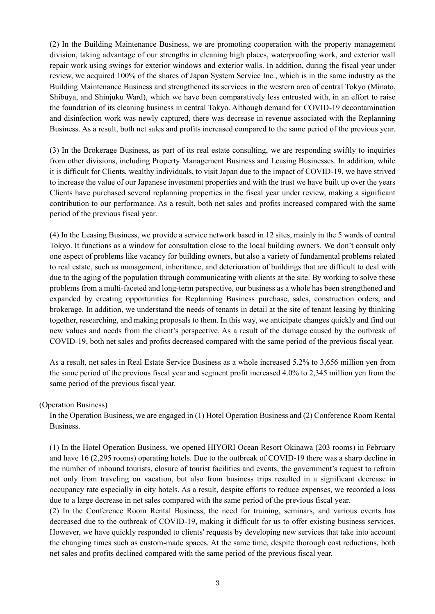(2) In the Building Maintenance Business, we are promoting cooperation with the property management division, taking advantage of our strengths in cleaning high places, waterproofing work, and exterior wall repair work using swings for exterior windows and exterior walls. In addition, during the fiscal year under review, we acquired 100% of the shares of Japan System Service Inc., which is in the same industry as the Building Maintenance Business and strengthened its services in the western area of central Tokyo (Minato, Shibuya, and Shinjuku Ward), which we have been comparatively less entrusted with, in an effort to raise the foundation of its cleaning business in central Tokyo. Although demand for COVID-19 decontamination and disinfection work was newly captured, there was decrease in revenue associated with the Replanning Business. As a result, both net sales and profits increased compared to the same period of the previous year.

(3) In the Brokerage Business, as part of its real estate consulting, we are responding swiftly to inquiries from other divisions, including Property Management Business and Leasing Businesses. In addition, while it is difficult for Clients, wealthy individuals, to visit Japan due to the impact of COVID-19, we have strived to increase the value of our Japanese investment properties and with the trust we have built up over the years Clients have purchased several replanning properties in the fiscal year under review, making a significant contribution to our performance. As a result, both net sales and profits increased compared with the same period of the previous fiscal year.

(4) In the Leasing Business, we provide a service network based in 12 sites, mainly in the 5 wards of central Tokyo. It functions as a window for consultation close to the local building owners. We don't consult only one aspect of problems like vacancy for building owners, but also a variety of fundamental problems related to real estate, such as management, inheritance, and deterioration of buildings that are difficult to deal with due to the aging of the population through communicating with clients at the site. By working to solve these problems from a multi-faceted and long-term perspective, our business as a whole has been strengthened and expanded by creating opportunities for Replanning Business purchase, sales, construction orders, and brokerage. In addition, we understand the needs of tenants in detail at the site of tenant leasing by thinking together, researching, and making proposals to them. In this way, we anticipate changes quickly and find out new values and needs from the client's perspective. As a result of the damage caused by the outbreak of COVID-19, both net sales and profits decreased compared with the same period of the previous fiscal year.

As a result, net sales in Real Estate Service Business as a whole increased 5.2% to 3,656 million yen from the same period of the previous fiscal year and segment profit increased 4.0% to 2,345 million yen from the same period of the previous fiscal year.

#### (Operation Business)

In the Operation Business, we are engaged in (1) Hotel Operation Business and (2) Conference Room Rental Business.

(1) In the Hotel Operation Business, we opened HIYORI Ocean Resort Okinawa (203 rooms) in February and have 16 (2,295 rooms) operating hotels. Due to the outbreak of COVID-19 there was a sharp decline in the number of inbound tourists, closure of tourist facilities and events, the government's request to refrain not only from traveling on vacation, but also from business trips resulted in a significant decrease in occupancy rate especially in city hotels. As a result, despite efforts to reduce expenses, we recorded a loss due to a large decrease in net sales compared with the same period of the previous fiscal year.

(2) In the Conference Room Rental Business, the need for training, seminars, and various events has decreased due to the outbreak of COVID-19, making it difficult for us to offer existing business services. However, we have quickly responded to clients' requests by developing new services that take into account the changing times such as custom-made spaces. At the same time, despite thorough cost reductions, both net sales and profits declined compared with the same period of the previous fiscal year.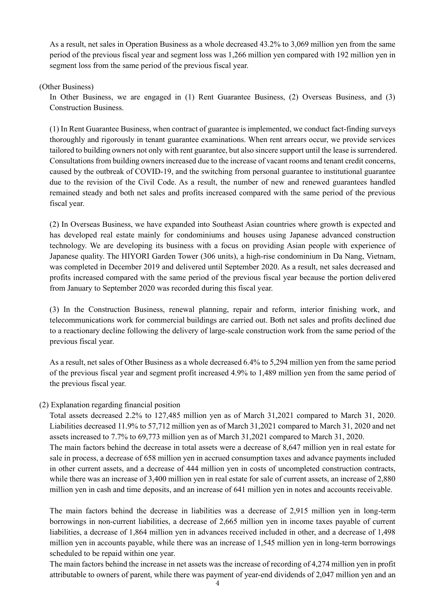As a result, net sales in Operation Business as a whole decreased 43.2% to 3,069 million yen from the same period of the previous fiscal year and segment loss was 1,266 million yen compared with 192 million yen in segment loss from the same period of the previous fiscal year.

(Other Business)

In Other Business, we are engaged in (1) Rent Guarantee Business, (2) Overseas Business, and (3) Construction Business.

(1) In Rent Guarantee Business, when contract of guarantee is implemented, we conduct fact-finding surveys thoroughly and rigorously in tenant guarantee examinations. When rent arrears occur, we provide services tailored to building owners not only with rent guarantee, but also sincere support until the lease is surrendered. Consultations from building owners increased due to the increase of vacant rooms and tenant credit concerns, caused by the outbreak of COVID-19, and the switching from personal guarantee to institutional guarantee due to the revision of the Civil Code. As a result, the number of new and renewed guarantees handled remained steady and both net sales and profits increased compared with the same period of the previous fiscal year.

(2) In Overseas Business, we have expanded into Southeast Asian countries where growth is expected and has developed real estate mainly for condominiums and houses using Japanese advanced construction technology. We are developing its business with a focus on providing Asian people with experience of Japanese quality. The HIYORI Garden Tower (306 units), a high-rise condominium in Da Nang, Vietnam, was completed in December 2019 and delivered until September 2020. As a result, net sales decreased and profits increased compared with the same period of the previous fiscal year because the portion delivered from January to September 2020 was recorded during this fiscal year.

(3) In the Construction Business, renewal planning, repair and reform, interior finishing work, and telecommunications work for commercial buildings are carried out. Both net sales and profits declined due to a reactionary decline following the delivery of large-scale construction work from the same period of the previous fiscal year.

As a result, net sales of Other Business as a whole decreased 6.4% to 5,294 million yen from the same period of the previous fiscal year and segment profit increased 4.9% to 1,489 million yen from the same period of the previous fiscal year.

#### <span id="page-8-0"></span>(2) Explanation regarding financial position

Total assets decreased 2.2% to 127,485 million yen as of March 31,2021 compared to March 31, 2020. Liabilities decreased 11.9% to 57,712 million yen as of March 31,2021 compared to March 31, 2020 and net assets increased to 7.7% to 69,773 million yen as of March 31,2021 compared to March 31, 2020. The main factors behind the decrease in total assets were a decrease of 8,647 million yen in real estate for sale in process, a decrease of 658 million yen in accrued consumption taxes and advance payments included in other current assets, and a decrease of 444 million yen in costs of uncompleted construction contracts, while there was an increase of 3,400 million yen in real estate for sale of current assets, an increase of 2,880 million yen in cash and time deposits, and an increase of 641 million yen in notes and accounts receivable.

The main factors behind the decrease in liabilities was a decrease of 2,915 million yen in long-term borrowings in non-current liabilities, a decrease of 2,665 million yen in income taxes payable of current liabilities, a decrease of 1,864 million yen in advances received included in other, and a decrease of 1,498 million yen in accounts payable, while there was an increase of 1,545 million yen in long-term borrowings scheduled to be repaid within one year.

The main factors behind the increase in net assets was the increase of recording of 4,274 million yen in profit attributable to owners of parent, while there was payment of year-end dividends of 2,047 million yen and an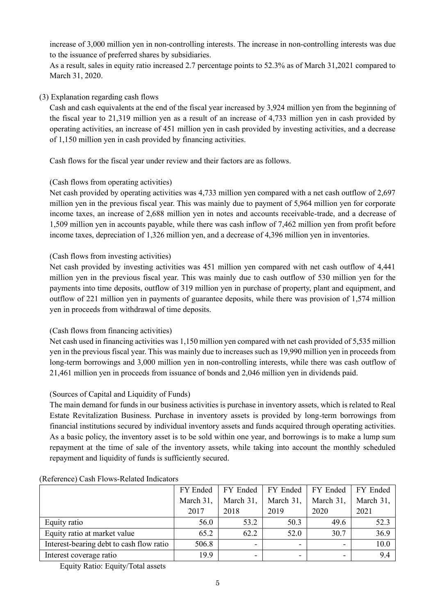increase of 3,000 million yen in non-controlling interests. The increase in non-controlling interests was due to the issuance of preferred shares by subsidiaries.

As a result, sales in equity ratio increased 2.7 percentage points to 52.3% as of March 31,2021 compared to March 31, 2020.

### <span id="page-9-0"></span>(3) Explanation regarding cash flows

Cash and cash equivalents at the end of the fiscal year increased by 3,924 million yen from the beginning of the fiscal year to 21,319 million yen as a result of an increase of 4,733 million yen in cash provided by operating activities, an increase of 451 million yen in cash provided by investing activities, and a decrease of 1,150 million yen in cash provided by financing activities.

Cash flows for the fiscal year under review and their factors are as follows.

### (Cash flows from operating activities)

Net cash provided by operating activities was 4,733 million yen compared with a net cash outflow of 2,697 million yen in the previous fiscal year. This was mainly due to payment of 5,964 million yen for corporate income taxes, an increase of 2,688 million yen in notes and accounts receivable-trade, and a decrease of 1,509 million yen in accounts payable, while there was cash inflow of 7,462 million yen from profit before income taxes, depreciation of 1,326 million yen, and a decrease of 4,396 million yen in inventories.

### (Cash flows from investing activities)

Net cash provided by investing activities was 451 million yen compared with net cash outflow of 4,441 million yen in the previous fiscal year. This was mainly due to cash outflow of 530 million yen for the payments into time deposits, outflow of 319 million yen in purchase of property, plant and equipment, and outflow of 221 million yen in payments of guarantee deposits, while there was provision of 1,574 million yen in proceeds from withdrawal of time deposits.

### (Cash flows from financing activities)

Net cash used in financing activities was 1,150 million yen compared with net cash provided of 5,535 million yen in the previous fiscal year. This was mainly due to increases such as 19,990 million yen in proceeds from long-term borrowings and 3,000 million yen in non-controlling interests, while there was cash outflow of 21,461 million yen in proceeds from issuance of bonds and 2,046 million yen in dividends paid.

## (Sources of Capital and Liquidity of Funds)

The main demand for funds in our business activities is purchase in inventory assets, which is related to Real Estate Revitalization Business. Purchase in inventory assets is provided by long-term borrowings from financial institutions secured by individual inventory assets and funds acquired through operating activities. As a basic policy, the inventory asset is to be sold within one year, and borrowings is to make a lump sum repayment at the time of sale of the inventory assets, while taking into account the monthly scheduled repayment and liquidity of funds is sufficiently secured.

|                                          | FY Ended  | FY Ended                 | FY Ended                 | FY Ended  | FY Ended  |
|------------------------------------------|-----------|--------------------------|--------------------------|-----------|-----------|
|                                          | March 31, | March 31,                | March 31,                | March 31, | March 31, |
|                                          | 2017      | 2018                     | 2019                     | 2020      | 2021      |
| Equity ratio                             | 56.0      | 53.2                     | 50.3                     | 49.6      | 52.3      |
| Equity ratio at market value             | 65.2      | 62.2                     | 52.0                     | 30.7      | 36.9      |
| Interest-bearing debt to cash flow ratio | 506.8     | $\overline{\phantom{0}}$ | $\overline{\phantom{a}}$ | -         | 10.0      |
| Interest coverage ratio                  | 19.9      |                          |                          |           | 9.4       |

#### (Reference) Cash Flows-Related Indicators

Equity Ratio: Equity/Total assets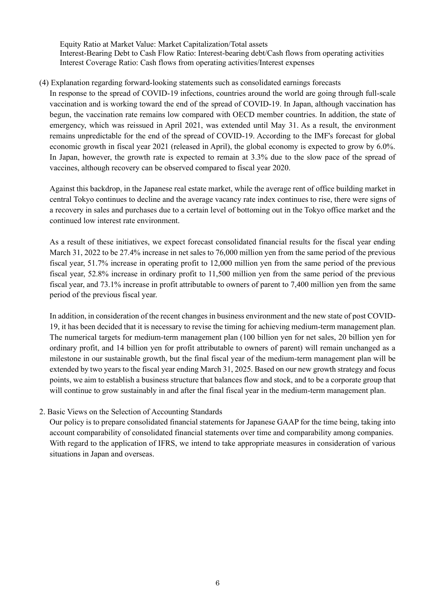Equity Ratio at Market Value: Market Capitalization/Total assets Interest-Bearing Debt to Cash Flow Ratio: Interest-bearing debt/Cash flows from operating activities Interest Coverage Ratio: Cash flows from operating activities/Interest expenses

#### <span id="page-10-0"></span>(4) Explanation regarding forward-looking statements such as consolidated earnings forecasts

In response to the spread of COVID-19 infections, countries around the world are going through full-scale vaccination and is working toward the end of the spread of COVID-19. In Japan, although vaccination has begun, the vaccination rate remains low compared with OECD member countries. In addition, the state of emergency, which was reissued in April 2021, was extended until May 31. As a result, the environment remains unpredictable for the end of the spread of COVID-19. According to the IMF's forecast for global economic growth in fiscal year 2021 (released in April), the global economy is expected to grow by 6.0%. In Japan, however, the growth rate is expected to remain at 3.3% due to the slow pace of the spread of vaccines, although recovery can be observed compared to fiscal year 2020.

Against this backdrop, in the Japanese real estate market, while the average rent of office building market in central Tokyo continues to decline and the average vacancy rate index continues to rise, there were signs of a recovery in sales and purchases due to a certain level of bottoming out in the Tokyo office market and the continued low interest rate environment.

As a result of these initiatives, we expect forecast consolidated financial results for the fiscal year ending March 31, 2022 to be 27.4% increase in net sales to 76,000 million yen from the same period of the previous fiscal year, 51.7% increase in operating profit to 12,000 million yen from the same period of the previous fiscal year, 52.8% increase in ordinary profit to 11,500 million yen from the same period of the previous fiscal year, and 73.1% increase in profit attributable to owners of parent to 7,400 million yen from the same period of the previous fiscal year.

In addition, in consideration of the recent changes in business environment and the new state of post COVID-19, it has been decided that it is necessary to revise the timing for achieving medium-term management plan. The numerical targets for medium-term management plan (100 billion yen for net sales, 20 billion yen for ordinary profit, and 14 billion yen for profit attributable to owners of parent) will remain unchanged as a milestone in our sustainable growth, but the final fiscal year of the medium-term management plan will be extended by two years to the fiscal year ending March 31, 2025. Based on our new growth strategy and focus points, we aim to establish a business structure that balances flow and stock, and to be a corporate group that will continue to grow sustainably in and after the final fiscal year in the medium-term management plan.

#### <span id="page-10-1"></span>2. Basic Views on the Selection of Accounting Standards

Our policy is to prepare consolidated financial statements for Japanese GAAP for the time being, taking into account comparability of consolidated financial statements over time and comparability among companies. With regard to the application of IFRS, we intend to take appropriate measures in consideration of various situations in Japan and overseas.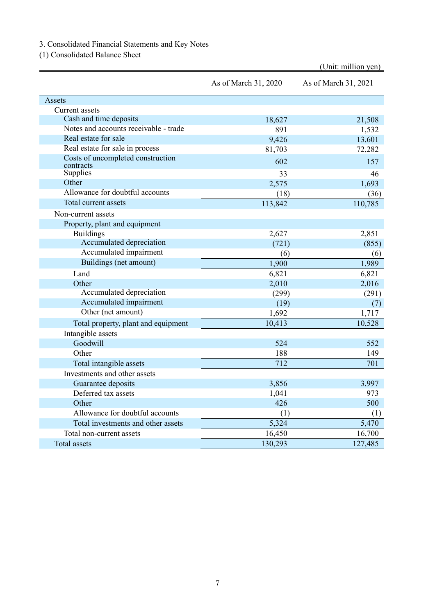<span id="page-11-0"></span>3. Consolidated Financial Statements and Key Notes

<span id="page-11-1"></span>(1) Consolidated Balance Sheet

|                                       |                      | (Unit: million yen)  |
|---------------------------------------|----------------------|----------------------|
|                                       | As of March 31, 2020 | As of March 31, 2021 |
| Assets                                |                      |                      |
| <b>Current</b> assets                 |                      |                      |
| Cash and time deposits                | 18,627               | 21,508               |
| Notes and accounts receivable - trade | 891                  | 1,532                |
| Real estate for sale                  | 9,426                | 13,601               |
| Real estate for sale in process       | 81,703               | 72,282               |
| Costs of uncompleted construction     | 602                  | 157                  |
| contracts<br>Supplies                 | 33                   | 46                   |
| Other                                 | 2,575                | 1,693                |
| Allowance for doubtful accounts       | (18)                 | (36)                 |
| Total current assets                  | 113,842              | 110,785              |
| Non-current assets                    |                      |                      |
| Property, plant and equipment         |                      |                      |
| <b>Buildings</b>                      | 2,627                | 2,851                |
| Accumulated depreciation              | (721)                | (855)                |
| Accumulated impairment                | (6)                  | (6)                  |
| Buildings (net amount)                | 1,900                | 1,989                |
| Land                                  | 6,821                | 6,821                |
| Other                                 | 2,010                | 2,016                |
| Accumulated depreciation              | (299)                | (291)                |
| Accumulated impairment                | (19)                 | (7)                  |
| Other (net amount)                    | 1,692                | 1,717                |
| Total property, plant and equipment   | 10,413               | 10,528               |
| Intangible assets                     |                      |                      |
| Goodwill                              | 524                  | 552                  |
| Other                                 | 188                  | 149                  |
| Total intangible assets               | 712                  | 701                  |
| Investments and other assets          |                      |                      |
| Guarantee deposits                    | 3,856                | 3,997                |
| Deferred tax assets                   | 1,041                | 973                  |
| Other                                 | 426                  | 500                  |
| Allowance for doubtful accounts       | (1)                  | (1)                  |
| Total investments and other assets    | 5,324                | 5,470                |
| Total non-current assets              | 16,450               | 16,700               |
| <b>Total</b> assets                   | 130,293              | 127,485              |

7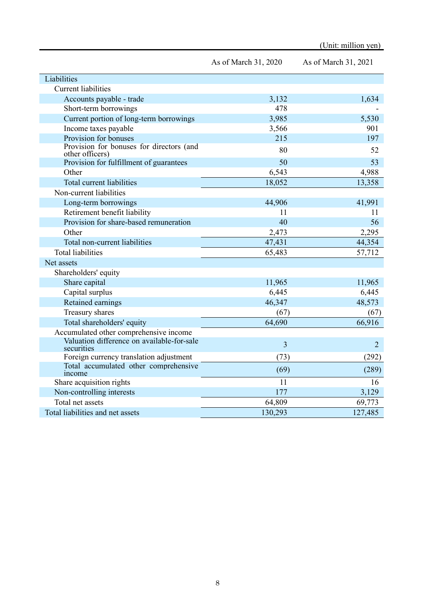|                                                             | As of March 31, 2020 | As of March 31, 2021 |
|-------------------------------------------------------------|----------------------|----------------------|
| Liabilities                                                 |                      |                      |
| <b>Current liabilities</b>                                  |                      |                      |
| Accounts payable - trade                                    | 3,132                | 1,634                |
| Short-term borrowings                                       | 478                  |                      |
| Current portion of long-term borrowings                     | 3,985                | 5,530                |
| Income taxes payable                                        | 3,566                | 901                  |
| Provision for bonuses                                       | 215                  | 197                  |
| Provision for bonuses for directors (and<br>other officers) | 80                   | 52                   |
| Provision for fulfillment of guarantees                     | 50                   | 53                   |
| Other                                                       | 6,543                | 4,988                |
| Total current liabilities                                   | 18,052               | 13,358               |
| Non-current liabilities                                     |                      |                      |
| Long-term borrowings                                        | 44,906               | 41,991               |
| Retirement benefit liability                                | 11                   | 11                   |
| Provision for share-based remuneration                      | 40                   | 56                   |
| Other                                                       | 2,473                | 2,295                |
| Total non-current liabilities                               | 47,431               | 44,354               |
| <b>Total liabilities</b>                                    | 65,483               | 57,712               |
| Net assets                                                  |                      |                      |
| Shareholders' equity                                        |                      |                      |
| Share capital                                               | 11,965               | 11,965               |
| Capital surplus                                             | 6,445                | 6,445                |
| Retained earnings                                           | 46,347               | 48,573               |
| Treasury shares                                             | (67)                 | (67)                 |
| Total shareholders' equity                                  | 64,690               | 66,916               |
| Accumulated other comprehensive income                      |                      |                      |
| Valuation difference on available-for-sale<br>securities    | $\overline{3}$       | $\overline{2}$       |
| Foreign currency translation adjustment                     | (73)                 | (292)                |
| Total accumulated other comprehensive<br>income             | (69)                 | (289)                |
| Share acquisition rights                                    | 11                   | 16                   |
| Non-controlling interests                                   | 177                  | 3,129                |
| Total net assets                                            | 64,809               | 69,773               |
| Total liabilities and net assets                            | 130,293              | 127,485              |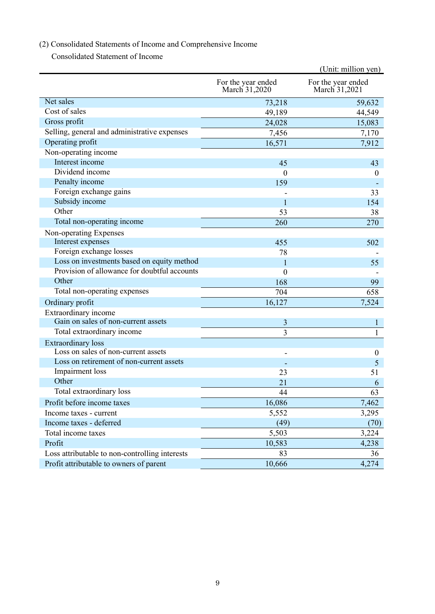# <span id="page-13-0"></span>(2) Consolidated Statements of Income and Comprehensive Income

Consolidated Statement of Income

|                                                |                                     | (Unit: million yen)                 |
|------------------------------------------------|-------------------------------------|-------------------------------------|
|                                                | For the year ended<br>March 31,2020 | For the year ended<br>March 31,2021 |
| Net sales                                      | 73,218                              | 59,632                              |
| Cost of sales                                  | 49,189                              | 44,549                              |
| Gross profit                                   | 24,028                              | 15,083                              |
| Selling, general and administrative expenses   | 7,456                               | 7,170                               |
| Operating profit                               | 16,571                              | 7,912                               |
| Non-operating income                           |                                     |                                     |
| Interest income                                | 45                                  | 43                                  |
| Dividend income                                | $\theta$                            | $\theta$                            |
| Penalty income                                 | 159                                 |                                     |
| Foreign exchange gains                         |                                     | 33                                  |
| Subsidy income                                 | $\mathbf{1}$                        | 154                                 |
| Other                                          | 53                                  | 38                                  |
| Total non-operating income                     | 260                                 | 270                                 |
| Non-operating Expenses                         |                                     |                                     |
| Interest expenses                              | 455                                 | 502                                 |
| Foreign exchange losses                        | 78                                  |                                     |
| Loss on investments based on equity method     | 1                                   | 55                                  |
| Provision of allowance for doubtful accounts   | $\overline{0}$                      |                                     |
| Other                                          | 168                                 | 99                                  |
| Total non-operating expenses                   | 704                                 | 658                                 |
| Ordinary profit                                | 16,127                              | 7,524                               |
| Extraordinary income                           |                                     |                                     |
| Gain on sales of non-current assets            | 3                                   | $\bf{l}$                            |
| Total extraordinary income                     | $\overline{3}$                      | $\mathbf{1}$                        |
| <b>Extraordinary</b> loss                      |                                     |                                     |
| Loss on sales of non-current assets            |                                     | $\theta$                            |
| Loss on retirement of non-current assets       |                                     | 5                                   |
| Impairment loss                                | 23                                  | 51                                  |
| Other                                          | 21                                  | 6                                   |
| Total extraordinary loss                       | 44                                  | 63                                  |
| Profit before income taxes                     | 16,086                              | 7,462                               |
| Income taxes - current                         | 5,552                               | 3,295                               |
| Income taxes - deferred                        | (49)                                | (70)                                |
| Total income taxes                             | 5,503                               | 3,224                               |
| Profit                                         | 10,583                              | 4,238                               |
| Loss attributable to non-controlling interests | 83                                  | 36                                  |
| Profit attributable to owners of parent        | 10,666                              | 4,274                               |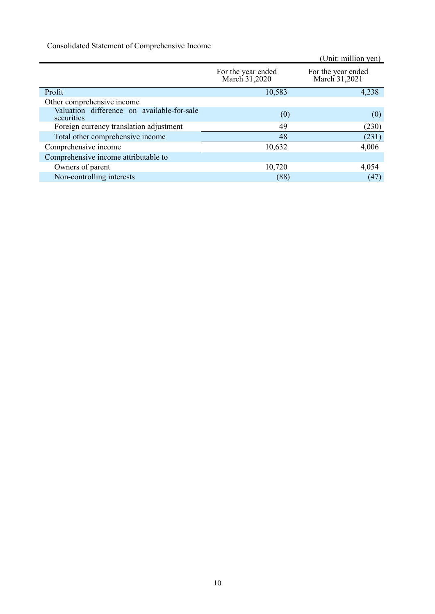Consolidated Statement of Comprehensive Income

|                                                          |                                     | (Unit: million yen)                 |
|----------------------------------------------------------|-------------------------------------|-------------------------------------|
|                                                          | For the year ended<br>March 31,2020 | For the year ended<br>March 31,2021 |
| Profit                                                   | 10,583                              | 4,238                               |
| Other comprehensive income                               |                                     |                                     |
| Valuation difference on available-for-sale<br>securities | (0)                                 | (0)                                 |
| Foreign currency translation adjustment                  | 49                                  | (230)                               |
| Total other comprehensive income                         | 48                                  | (231)                               |
| Comprehensive income                                     | 10,632                              | 4,006                               |
| Comprehensive income attributable to                     |                                     |                                     |
| Owners of parent                                         | 10,720                              | 4,054                               |
| Non-controlling interests                                | (88)                                | (47)                                |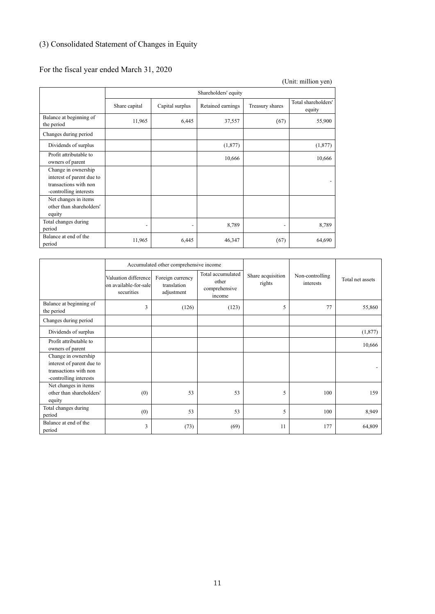# <span id="page-15-0"></span>(3) Consolidated Statement of Changes in Equity

# For the fiscal year ended March 31, 2020

|                                                                                                     |                          |                          |                   |                 | (Unit: million yen)           |  |  |  |
|-----------------------------------------------------------------------------------------------------|--------------------------|--------------------------|-------------------|-----------------|-------------------------------|--|--|--|
|                                                                                                     |                          | Shareholders' equity     |                   |                 |                               |  |  |  |
|                                                                                                     | Share capital            | Capital surplus          | Retained earnings | Treasury shares | Total shareholders'<br>equity |  |  |  |
| Balance at beginning of<br>the period                                                               | 11,965                   | 6,445                    | 37,557            | (67)            | 55,900                        |  |  |  |
| Changes during period                                                                               |                          |                          |                   |                 |                               |  |  |  |
| Dividends of surplus                                                                                |                          |                          | (1,877)           |                 | (1,877)                       |  |  |  |
| Profit attributable to<br>owners of parent                                                          |                          |                          | 10,666            |                 | 10,666                        |  |  |  |
| Change in ownership<br>interest of parent due to<br>transactions with non<br>-controlling interests |                          |                          |                   |                 |                               |  |  |  |
| Net changes in items<br>other than shareholders'<br>equity                                          |                          |                          |                   |                 |                               |  |  |  |
| Total changes during<br>period                                                                      | $\overline{\phantom{a}}$ | $\overline{\phantom{a}}$ | 8,789             |                 | 8,789                         |  |  |  |
| Balance at end of the<br>period                                                                     | 11,965                   | 6,445                    | 46,347            | (67)            | 64,690                        |  |  |  |

|                                                                                                     | Accumulated other comprehensive income                      |                                               |                                                       |                             |                              |                  |
|-----------------------------------------------------------------------------------------------------|-------------------------------------------------------------|-----------------------------------------------|-------------------------------------------------------|-----------------------------|------------------------------|------------------|
|                                                                                                     | Valuation difference<br>on available-for-sale<br>securities | Foreign currency<br>translation<br>adjustment | Total accumulated<br>other<br>comprehensive<br>income | Share acquisition<br>rights | Non-controlling<br>interests | Total net assets |
| Balance at beginning of<br>the period                                                               | 3                                                           | (126)                                         | (123)                                                 | 5                           | 77                           | 55,860           |
| Changes during period                                                                               |                                                             |                                               |                                                       |                             |                              |                  |
| Dividends of surplus                                                                                |                                                             |                                               |                                                       |                             |                              | (1,877)          |
| Profit attributable to<br>owners of parent                                                          |                                                             |                                               |                                                       |                             |                              | 10,666           |
| Change in ownership<br>interest of parent due to<br>transactions with non<br>-controlling interests |                                                             |                                               |                                                       |                             |                              |                  |
| Net changes in items<br>other than shareholders'<br>equity                                          | (0)                                                         | 53                                            | 53                                                    | 5                           | 100                          | 159              |
| Total changes during<br>period                                                                      | (0)                                                         | 53                                            | 53                                                    | 5                           | 100                          | 8,949            |
| Balance at end of the<br>period                                                                     | 3                                                           | (73)                                          | (69)                                                  | 11                          | 177                          | 64,809           |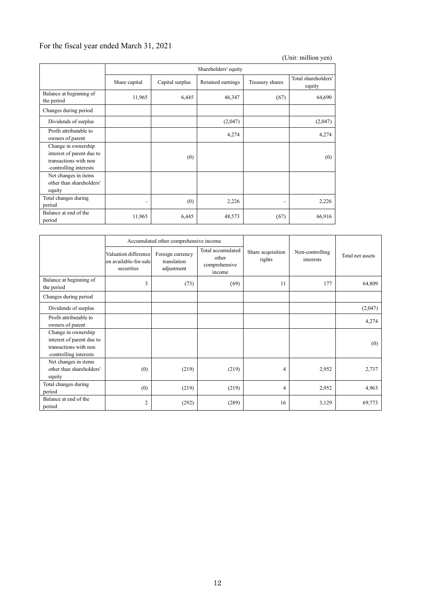# For the fiscal year ended March 31, 2021

|                                                                                                     |                          |                      |                   |                          | (Unit: million yen)           |  |  |  |
|-----------------------------------------------------------------------------------------------------|--------------------------|----------------------|-------------------|--------------------------|-------------------------------|--|--|--|
|                                                                                                     |                          | Shareholders' equity |                   |                          |                               |  |  |  |
|                                                                                                     | Share capital            | Capital surplus      | Retained earnings | Treasury shares          | Total shareholders'<br>equity |  |  |  |
| Balance at beginning of<br>the period                                                               | 11,965                   | 6,445                | 46,347            | (67)                     | 64,690                        |  |  |  |
| Changes during period                                                                               |                          |                      |                   |                          |                               |  |  |  |
| Dividends of surplus                                                                                |                          |                      | (2,047)           |                          | (2,047)                       |  |  |  |
| Profit attributable to<br>owners of parent                                                          |                          |                      | 4,274             |                          | 4,274                         |  |  |  |
| Change in ownership<br>interest of parent due to<br>transactions with non<br>-controlling interests |                          | (0)                  |                   |                          | (0)                           |  |  |  |
| Net changes in items<br>other than shareholders'<br>equity                                          |                          |                      |                   |                          |                               |  |  |  |
| Total changes during<br>period                                                                      | $\overline{\phantom{0}}$ | (0)                  | 2,226             | $\overline{\phantom{a}}$ | 2,226                         |  |  |  |
| Balance at end of the<br>period                                                                     | 11,965                   | 6,445                | 48,573            | (67)                     | 66,916                        |  |  |  |

|                                                                                                     | Accumulated other comprehensive income                      |                                               |                                                       |                             |                              |                  |
|-----------------------------------------------------------------------------------------------------|-------------------------------------------------------------|-----------------------------------------------|-------------------------------------------------------|-----------------------------|------------------------------|------------------|
|                                                                                                     | Valuation difference<br>on available-for-sale<br>securities | Foreign currency<br>translation<br>adjustment | Total accumulated<br>other<br>comprehensive<br>income | Share acquisition<br>rights | Non-controlling<br>interests | Total net assets |
| Balance at beginning of<br>the period                                                               | $\overline{3}$                                              | (73)                                          | (69)                                                  | 11                          | 177                          | 64,809           |
| Changes during period                                                                               |                                                             |                                               |                                                       |                             |                              |                  |
| Dividends of surplus                                                                                |                                                             |                                               |                                                       |                             |                              | (2,047)          |
| Profit attributable to<br>owners of parent                                                          |                                                             |                                               |                                                       |                             |                              | 4,274            |
| Change in ownership<br>interest of parent due to<br>transactions with non<br>-controlling interests |                                                             |                                               |                                                       |                             |                              | (0)              |
| Net changes in items<br>other than shareholders'<br>equity                                          | (0)                                                         | (219)                                         | (219)                                                 | 4                           | 2,952                        | 2,737            |
| Total changes during<br>period                                                                      | (0)                                                         | (219)                                         | (219)                                                 | 4                           | 2,952                        | 4,963            |
| Balance at end of the<br>period                                                                     | $\overline{2}$                                              | (292)                                         | (289)                                                 | 16                          | 3,129                        | 69,773           |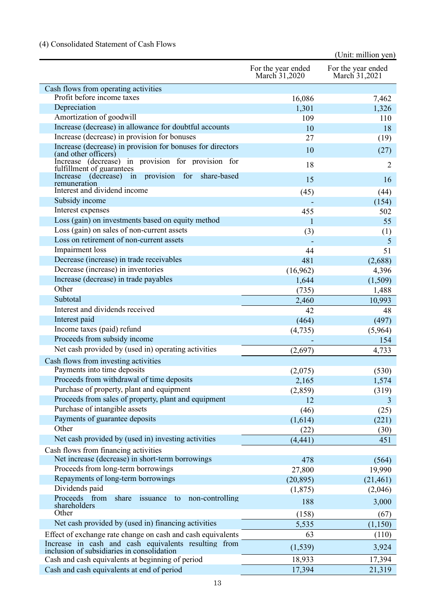# <span id="page-17-0"></span>(4) Consolidated Statement of Cash Flows

|                                                                                                    |                                     | (Unit: million yen)                 |
|----------------------------------------------------------------------------------------------------|-------------------------------------|-------------------------------------|
|                                                                                                    | For the year ended<br>March 31,2020 | For the year ended<br>March 31,2021 |
| Cash flows from operating activities                                                               |                                     |                                     |
| Profit before income taxes                                                                         | 16,086                              | 7,462                               |
| Depreciation                                                                                       | 1,301                               | 1,326                               |
| Amortization of goodwill                                                                           | 109                                 | 110                                 |
| Increase (decrease) in allowance for doubtful accounts                                             | 10                                  | 18                                  |
| Increase (decrease) in provision for bonuses                                                       | 27                                  | (19)                                |
| Increase (decrease) in provision for bonuses for directors<br>(and other officers)                 | 10                                  | (27)                                |
| Increase (decrease) in provision for provision for<br>fulfillment of guarantees                    | 18                                  | 2                                   |
| provision for<br>Increase (decrease) in<br>share-based<br>remuneration                             | 15                                  | 16                                  |
| Interest and dividend income                                                                       | (45)                                | (44)                                |
| Subsidy income                                                                                     |                                     | (154)                               |
| Interest expenses                                                                                  | 455                                 | 502                                 |
| Loss (gain) on investments based on equity method                                                  | 1                                   | 55                                  |
| Loss (gain) on sales of non-current assets                                                         | (3)                                 | (1)                                 |
| Loss on retirement of non-current assets                                                           |                                     | 5                                   |
| Impairment loss                                                                                    | 44                                  | 51                                  |
| Decrease (increase) in trade receivables                                                           | 481                                 | (2,688)                             |
| Decrease (increase) in inventories                                                                 | (16,962)                            | 4,396                               |
| Increase (decrease) in trade payables                                                              | 1,644                               | (1,509)                             |
| Other                                                                                              | (735)                               | 1,488                               |
| Subtotal                                                                                           | 2,460                               | 10,993                              |
| Interest and dividends received                                                                    | 42                                  | 48                                  |
| Interest paid                                                                                      | (464)                               | (497)                               |
| Income taxes (paid) refund                                                                         | (4,735)                             | (5,964)                             |
| Proceeds from subsidy income                                                                       |                                     | 154                                 |
| Net cash provided by (used in) operating activities                                                | (2,697)                             | 4,733                               |
| Cash flows from investing activities                                                               |                                     |                                     |
| Payments into time deposits                                                                        | (2,075)                             | (530)                               |
| Proceeds from withdrawal of time deposits                                                          | 2,165                               | 1,574                               |
| Purchase of property, plant and equipment                                                          | (2,859)                             | (319)                               |
| Proceeds from sales of property, plant and equipment                                               | 12                                  | 3                                   |
| Purchase of intangible assets                                                                      | (46)                                | (25)                                |
| Payments of guarantee deposits                                                                     | (1,614)                             | (221)                               |
| Other                                                                                              | (22)                                | (30)                                |
| Net cash provided by (used in) investing activities                                                | (4, 441)                            | 451                                 |
| Cash flows from financing activities                                                               |                                     |                                     |
| Net increase (decrease) in short-term borrowings                                                   | 478                                 | (564)                               |
| Proceeds from long-term borrowings<br>Repayments of long-term borrowings                           | 27,800                              | 19,990                              |
|                                                                                                    | (20, 895)                           | (21, 461)                           |
| Dividends paid<br>Proceeds from<br>non-controlling<br>share                                        | (1,875)                             | (2,046)                             |
| issuance<br>to<br>shareholders<br>Other                                                            | 188                                 | 3,000                               |
|                                                                                                    | (158)                               | (67)                                |
| Net cash provided by (used in) financing activities                                                | 5,535                               | (1,150)                             |
| Effect of exchange rate change on cash and cash equivalents                                        | 63                                  | (110)                               |
| Increase in cash and cash equivalents resulting from<br>inclusion of subsidiaries in consolidation | (1, 539)                            | 3,924                               |
| Cash and cash equivalents at beginning of period                                                   | 18,933                              | 17,394                              |
| Cash and cash equivalents at end of period                                                         | 17,394                              | 21,319                              |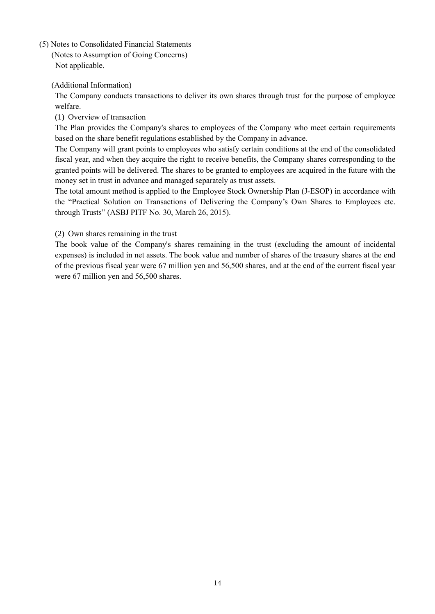<span id="page-18-1"></span><span id="page-18-0"></span>(5) Notes to Consolidated Financial Statements

(Notes to Assumption of Going Concerns) Not applicable.

<span id="page-18-2"></span>(Additional Information)

The Company conducts transactions to deliver its own shares through trust for the purpose of employee welfare.

(1) Overview of transaction

The Plan provides the Company's shares to employees of the Company who meet certain requirements based on the share benefit regulations established by the Company in advance.

The Company will grant points to employees who satisfy certain conditions at the end of the consolidated fiscal year, and when they acquire the right to receive benefits, the Company shares corresponding to the granted points will be delivered. The shares to be granted to employees are acquired in the future with the money set in trust in advance and managed separately as trust assets.

The total amount method is applied to the Employee Stock Ownership Plan (J-ESOP) in accordance with the "Practical Solution on Transactions of Delivering the Company's Own Shares to Employees etc. through Trusts" (ASBJ PITF No. 30, March 26, 2015).

(2) Own shares remaining in the trust

The book value of the Company's shares remaining in the trust (excluding the amount of incidental expenses) is included in net assets. The book value and number of shares of the treasury shares at the end of the previous fiscal year were 67 million yen and 56,500 shares, and at the end of the current fiscal year were 67 million yen and 56,500 shares.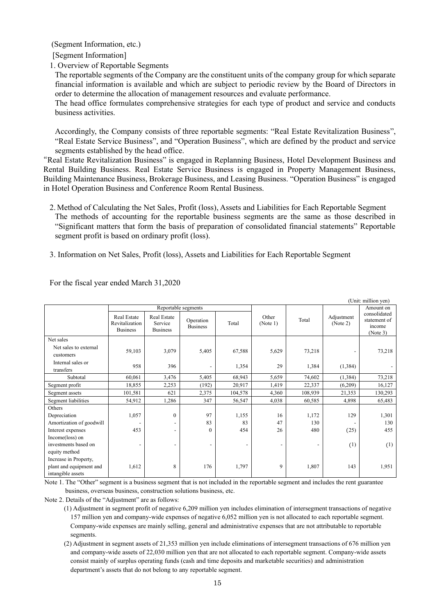<span id="page-19-0"></span>(Segment Information, etc.)

[Segment Information]

1. Overview of Reportable Segments

The reportable segments of the Company are the constituent units of the company group for which separate financial information is available and which are subject to periodic review by the Board of Directors in order to determine the allocation of management resources and evaluate performance.

The head office formulates comprehensive strategies for each type of product and service and conducts business activities.

Accordingly, the Company consists of three reportable segments: "Real Estate Revitalization Business", "Real Estate Service Business", and "Operation Business", which are defined by the product and service segments established by the head office.

"Real Estate Revitalization Business" is engaged in Replanning Business, Hotel Development Business and Rental Building Business. Real Estate Service Business is engaged in Property Management Business, Building Maintenance Business, Brokerage Business, and Leasing Business. "Operation Business" is engaged in Hotel Operation Business and Conference Room Rental Business.

2. Method of Calculating the Net Sales, Profit (loss), Assets and Liabilities for Each Reportable Segment The methods of accounting for the reportable business segments are the same as those described in "Significant matters that form the basis of preparation of consolidated financial statements" Reportable segment profit is based on ordinary profit (loss).

3. Information on Net Sales, Profit (loss), Assets and Liabilities for Each Reportable Segment

|                                    |                                                         |                                           |                              |         |                          |         |                        | (Unit: million yen)                                |
|------------------------------------|---------------------------------------------------------|-------------------------------------------|------------------------------|---------|--------------------------|---------|------------------------|----------------------------------------------------|
|                                    |                                                         |                                           | Reportable segments          |         |                          |         |                        | Amount on                                          |
|                                    | <b>Real Estate</b><br>Revitalization<br><b>Business</b> | Real Estate<br>Service<br><b>Business</b> | Operation<br><b>Business</b> | Total   | Other<br>(Note 1)        | Total   | Adjustment<br>(Note 2) | consolidated<br>statement of<br>income<br>(Note 3) |
| Net sales                          |                                                         |                                           |                              |         |                          |         |                        |                                                    |
| Net sales to external<br>customers | 59,103                                                  | 3,079                                     | 5,405                        | 67,588  | 5,629                    | 73,218  |                        | 73,218                                             |
| Internal sales or<br>transfers     | 958                                                     | 396                                       |                              | 1,354   | 29                       | 1,384   | (1, 384)               |                                                    |
| Subtotal                           | 60,061                                                  | 3,476                                     | 5,405                        | 68,943  | 5,659                    | 74,602  | (1,384)                | 73,218                                             |
| Segment profit                     | 18,855                                                  | 2,253                                     | (192)                        | 20,917  | 1,419                    | 22,337  | (6,209)                | 16,127                                             |
| Segment assets                     | 101,581                                                 | 621                                       | 2,375                        | 104,578 | 4,360                    | 108,939 | 21,353                 | 130,293                                            |
| Segment liabilities                | 54,912                                                  | 1,286                                     | 347                          | 56,547  | 4,038                    | 60,585  | 4,898                  | 65,483                                             |
| Others                             |                                                         |                                           |                              |         |                          |         |                        |                                                    |
| Depreciation                       | 1,057                                                   | $\Omega$                                  | 97                           | 1,155   | 16                       | 1,172   | 129                    | 1,301                                              |
| Amortization of goodwill           |                                                         | $\overline{\phantom{0}}$                  | 83                           | 83      | 47                       | 130     |                        | 130                                                |
| Interest expenses                  | 453                                                     | $\overline{\phantom{0}}$                  | $\theta$                     | 454     | 26                       | 480     | (25)                   | 455                                                |
| Income(loss) on                    |                                                         |                                           |                              |         |                          |         |                        |                                                    |
| investments based on               | $\overline{\phantom{a}}$                                | $\overline{\phantom{a}}$                  | ۰                            |         | $\overline{\phantom{a}}$ |         | (1)                    | (1)                                                |
| equity method                      |                                                         |                                           |                              |         |                          |         |                        |                                                    |
| Increase in Property,              |                                                         |                                           |                              |         |                          |         |                        |                                                    |
| plant and equipment and            | 1,612                                                   | 8                                         | 176                          | 1,797   | 9                        | 1,807   | 143                    | 1,951                                              |
| intangible assets                  |                                                         |                                           |                              |         |                          |         |                        |                                                    |

For the fiscal year ended March 31,2020

Note 1. The "Other" segment is a business segment that is not included in the reportable segment and includes the rent guarantee business, overseas business, construction solutions business, etc.

Note 2. Details of the "Adjustment" are as follows:

<sup>(1)</sup> Adjustment in segment profit of negative 6,209 million yen includes elimination of intersegment transactions of negative 157 million yen and company-wide expenses of negative 6,052 million yen is not allocated to each reportable segment. Company-wide expenses are mainly selling, general and administrative expenses that are not attributable to reportable segments.

<sup>(2)</sup> Adjustment in segment assets of 21,353 million yen include eliminations of intersegment transactions of 676 million yen and company-wide assets of 22,030 million yen that are not allocated to each reportable segment. Company-wide assets consist mainly of surplus operating funds (cash and time deposits and marketable securities) and administration department's assets that do not belong to any reportable segment.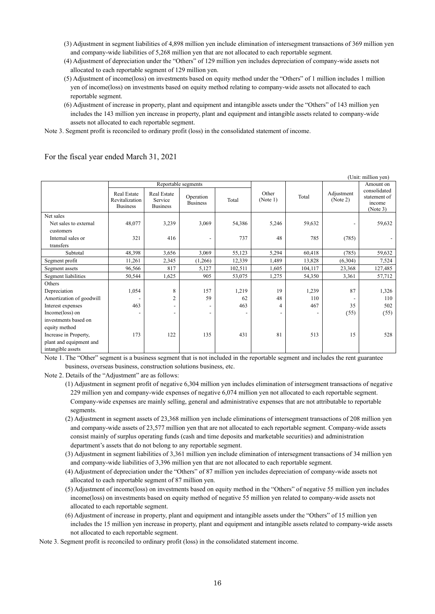- (3) Adjustment in segment liabilities of 4,898 million yen include elimination of intersegment transactions of 369 million yen and company-wide liabilities of 5,268 million yen that are not allocated to each reportable segment.
- (4) Adjustment of depreciation under the "Others" of 129 million yen includes depreciation of company-wide assets not allocated to each reportable segment of 129 million yen.
- (5) Adjustment of income(loss) on investments based on equity method under the "Others" of 1 million includes 1 million yen of income(loss) on investments based on equity method relating to company-wide assets not allocated to each reportable segment.
- (6) Adjustment of increase in property, plant and equipment and intangible assets under the "Others" of 143 million yen includes the 143 million yen increase in property, plant and equipment and intangible assets related to company-wide assets not allocated to each reportable segment.

Note 3. Segment profit is reconciled to ordinary profit (loss) in the consolidated statement of income.

|                          |                                                  |                                           |                              |         |                          |                          |                        | (Unit: million yen)                                |
|--------------------------|--------------------------------------------------|-------------------------------------------|------------------------------|---------|--------------------------|--------------------------|------------------------|----------------------------------------------------|
|                          | Reportable segments                              |                                           |                              |         |                          |                          | Amount on              |                                                    |
|                          | Real Estate<br>Revitalization<br><b>Business</b> | Real Estate<br>Service<br><b>Business</b> | Operation<br><b>Business</b> | Total   | Other<br>(Note 1)        | Total                    | Adjustment<br>(Note 2) | consolidated<br>statement of<br>income<br>(Note 3) |
| Net sales                |                                                  |                                           |                              |         |                          |                          |                        |                                                    |
| Net sales to external    | 48,077                                           | 3,239                                     | 3,069                        | 54,386  | 5,246                    | 59,632                   |                        | 59,632                                             |
| customers                |                                                  |                                           |                              |         |                          |                          |                        |                                                    |
| Internal sales or        | 321                                              | 416                                       |                              | 737     | 48                       | 785                      | (785)                  |                                                    |
| transfers                |                                                  |                                           |                              |         |                          |                          |                        |                                                    |
| Subtotal                 | 48,398                                           | 3,656                                     | 3,069                        | 55,123  | 5,294                    | 60,418                   | (785)                  | 59,632                                             |
| Segment profit           | 11,261                                           | 2,345                                     | (1,266)                      | 12,339  | 1,489                    | 13,828                   | (6,304)                | 7,524                                              |
| Segment assets           | 96,566                                           | 817                                       | 5,127                        | 102,511 | 1,605                    | 104,117                  | 23,368                 | 127,485                                            |
| Segment liabilities      | 50,544                                           | 1,625                                     | 905                          | 53,075  | 1,275                    | 54,350                   | 3,361                  | 57,712                                             |
| Others                   |                                                  |                                           |                              |         |                          |                          |                        |                                                    |
| Depreciation             | 1,054                                            | 8                                         | 157                          | 1,219   | 19                       | 1,239                    | 87                     | 1,326                                              |
| Amortization of goodwill |                                                  | $\overline{c}$                            | 59                           | 62      | 48                       | 110                      |                        | 110                                                |
| Interest expenses        | 463                                              | $\overline{\phantom{a}}$                  |                              | 463     | 4                        | 467                      | 35                     | 502                                                |
| Income(loss) on          |                                                  | -                                         |                              |         | $\overline{\phantom{0}}$ | $\overline{\phantom{0}}$ | (55)                   | (55)                                               |
| investments based on     |                                                  |                                           |                              |         |                          |                          |                        |                                                    |
| equity method            |                                                  |                                           |                              |         |                          |                          |                        |                                                    |
| Increase in Property,    | 173                                              | 122                                       | 135                          | 431     | 81                       | 513                      | 15                     | 528                                                |
| plant and equipment and  |                                                  |                                           |                              |         |                          |                          |                        |                                                    |
| intangible assets        |                                                  |                                           |                              |         |                          |                          |                        |                                                    |

For the fiscal year ended March 31, 2021

Note 1. The "Other" segment is a business segment that is not included in the reportable segment and includes the rent guarantee business, overseas business, construction solutions business, etc.

Note 2. Details of the "Adjustment" are as follows:

- (1) Adjustment in segment profit of negative 6,304 million yen includes elimination of intersegment transactions of negative 229 million yen and company-wide expenses of negative 6,074 million yen not allocated to each reportable segment. Company-wide expenses are mainly selling, general and administrative expenses that are not attributable to reportable segments.
- (2) Adjustment in segment assets of 23,368 million yen include eliminations of intersegment transactions of 208 million yen and company-wide assets of 23,577 million yen that are not allocated to each reportable segment. Company-wide assets consist mainly of surplus operating funds (cash and time deposits and marketable securities) and administration department's assets that do not belong to any reportable segment.
- (3) Adjustment in segment liabilities of 3,361 million yen include elimination of intersegment transactions of 34 million yen and company-wide liabilities of 3,396 million yen that are not allocated to each reportable segment.
- (4) Adjustment of depreciation under the "Others" of 87 million yen includes depreciation of company-wide assets not allocated to each reportable segment of 87 million yen.
- (5) Adjustment of income(loss) on investments based on equity method in the "Others" of negative 55 million yen includes income(loss) on investments based on equity method of negative 55 million yen related to company-wide assets not allocated to each reportable segment.
- (6) Adjustment of increase in property, plant and equipment and intangible assets under the "Others" of 15 million yen includes the 15 million yen increase in property, plant and equipment and intangible assets related to company-wide assets not allocated to each reportable segment.

Note 3. Segment profit is reconciled to ordinary profit (loss) in the consolidated statement income.